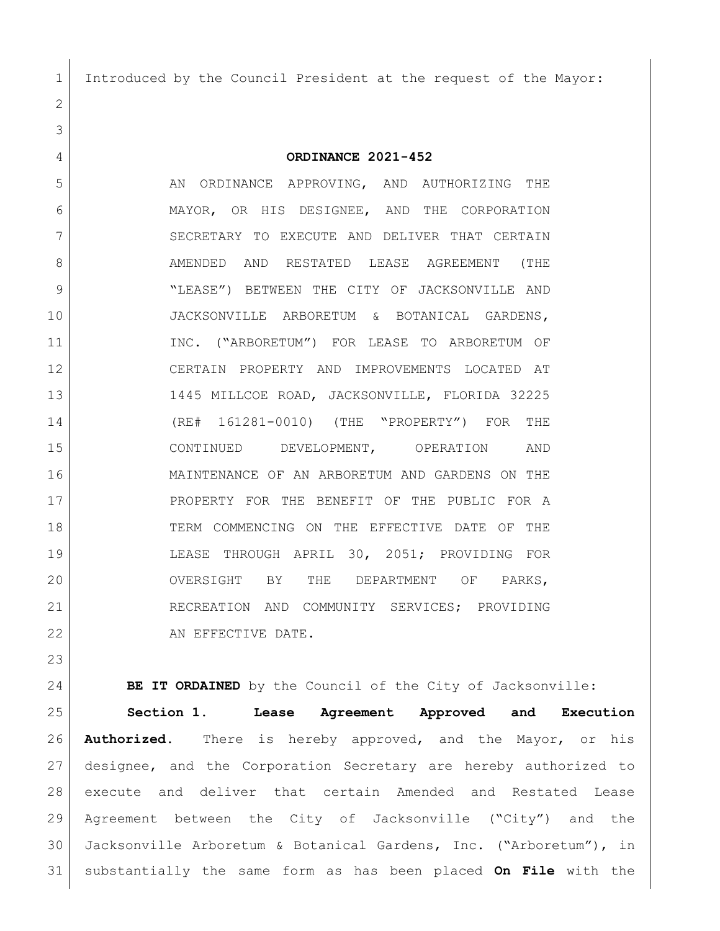Introduced by the Council President at the request of the Mayor:

**ORDINANCE 2021-452**

5 AN ORDINANCE APPROVING, AND AUTHORIZING THE MAYOR, OR HIS DESIGNEE, AND THE CORPORATION 7 SECRETARY TO EXECUTE AND DELIVER THAT CERTAIN 8 AMENDED AND RESTATED LEASE AGREEMENT (THE "LEASE") BETWEEN THE CITY OF JACKSONVILLE AND JACKSONVILLE ARBORETUM & BOTANICAL GARDENS, 11 INC. ("ARBORETUM") FOR LEASE TO ARBORETUM OF CERTAIN PROPERTY AND IMPROVEMENTS LOCATED AT 1445 MILLCOE ROAD, JACKSONVILLE, FLORIDA 32225 (RE# 161281-0010) (THE "PROPERTY") FOR THE CONTINUED DEVELOPMENT, OPERATION AND MAINTENANCE OF AN ARBORETUM AND GARDENS ON THE 17 PROPERTY FOR THE BENEFIT OF THE PUBLIC FOR A TERM COMMENCING ON THE EFFECTIVE DATE OF THE LEASE THROUGH APRIL 30, 2051; PROVIDING FOR OVERSIGHT BY THE DEPARTMENT OF PARKS, 21 RECREATION AND COMMUNITY SERVICES; PROVIDING 22 AN EFFECTIVE DATE.

**BE IT ORDAINED** by the Council of the City of Jacksonville: **Section 1. Lease Agreement Approved and Execution Authorized.** There is hereby approved, and the Mayor, or his designee, and the Corporation Secretary are hereby authorized to execute and deliver that certain Amended and Restated Lease Agreement between the City of Jacksonville ("City") and the Jacksonville Arboretum & Botanical Gardens, Inc. ("Arboretum"), in substantially the same form as has been placed **On File** with the